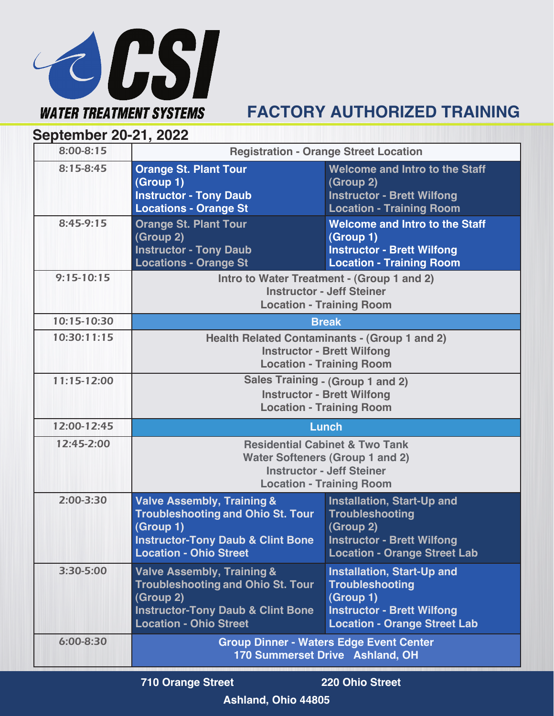

## **FACTORY AUTHORIZED TRAINING**

**September 20-21, 2022**

| 8:00-8:15     | <b>Registration - Orange Street Location</b>                                                                                                                                    |                                                                                                                                                      |
|---------------|---------------------------------------------------------------------------------------------------------------------------------------------------------------------------------|------------------------------------------------------------------------------------------------------------------------------------------------------|
| $8:15 - 8:45$ | <b>Orange St. Plant Tour</b><br>(Group 1)<br><b>Instructor - Tony Daub</b><br><b>Locations - Orange St</b>                                                                      | <b>Welcome and Intro to the Staff</b><br>(Group 2)<br><b>Instructor - Brett Wilfong</b><br><b>Location - Training Room</b>                           |
| $8:45-9:15$   | <b>Orange St. Plant Tour</b><br>(Group 2)<br><b>Instructor - Tony Daub</b><br><b>Locations - Orange St</b>                                                                      | <b>Welcome and Intro to the Staff</b><br>(Group 1)<br><b>Instructor - Brett Wilfong</b><br><b>Location - Training Room</b>                           |
| $9:15-10:15$  | Intro to Water Treatment - (Group 1 and 2)<br><b>Instructor - Jeff Steiner</b><br><b>Location - Training Room</b>                                                               |                                                                                                                                                      |
| 10:15-10:30   | <b>Break</b>                                                                                                                                                                    |                                                                                                                                                      |
| 10:30:11:15   | <b>Health Related Contaminants - (Group 1 and 2)</b><br><b>Instructor - Brett Wilfong</b><br><b>Location - Training Room</b>                                                    |                                                                                                                                                      |
| 11:15-12:00   | <b>Sales Training - (Group 1 and 2)</b><br><b>Instructor - Brett Wilfong</b><br><b>Location - Training Room</b>                                                                 |                                                                                                                                                      |
| 12:00-12:45   | Lunch                                                                                                                                                                           |                                                                                                                                                      |
| 12:45-2:00    | <b>Residential Cabinet &amp; Two Tank</b><br><b>Water Softeners (Group 1 and 2)</b><br><b>Instructor - Jeff Steiner</b><br><b>Location - Training Room</b>                      |                                                                                                                                                      |
| $2:00 - 3:30$ | <b>Valve Assembly, Training &amp;</b><br><b>Troubleshooting and Ohio St. Tour</b><br>(Group 1)<br><b>Instructor-Tony Daub &amp; Clint Bone</b><br><b>Location - Ohio Street</b> | Installation, Start-Up and<br><b>Troubleshooting</b><br>(Group 2)<br><b>Instructor - Brett Wilfong</b><br><b>Location - Orange Street Lab</b>        |
| 3:30-5:00     | <b>Valve Assembly, Training &amp;</b><br><b>Troubleshooting and Ohio St. Tour</b><br>(Group 2)<br><b>Instructor-Tony Daub &amp; Clint Bone</b><br><b>Location - Ohio Street</b> | <b>Installation, Start-Up and</b><br><b>Troubleshooting</b><br>(Group 1)<br><b>Instructor - Brett Wilfong</b><br><b>Location - Orange Street Lab</b> |
| 6:00-8:30     | <b>Group Dinner - Waters Edge Event Center</b><br>170 Summerset Drive Ashland, OH                                                                                               |                                                                                                                                                      |

 **710 Orange Street 220 Ohio Street**

**Ashland, Ohio 44805**